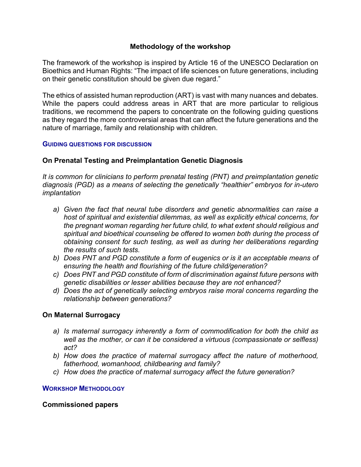## **Methodology of the workshop**

The framework of the workshop is inspired by Article 16 of the UNESCO Declaration on Bioethics and Human Rights: "The impact of life sciences on future generations, including on their genetic constitution should be given due regard."

The ethics of assisted human reproduction (ART) is vast with many nuances and debates. While the papers could address areas in ART that are more particular to religious traditions, we recommend the papers to concentrate on the following guiding questions as they regard the more controversial areas that can affect the future generations and the nature of marriage, family and relationship with children.

#### **GUIDING QUESTIONS FOR DISCUSSION**

## **On Prenatal Testing and Preimplantation Genetic Diagnosis**

*It is common for clinicians to perform prenatal testing (PNT) and preimplantation genetic diagnosis (PGD) as a means of selecting the genetically "healthier" embryos for in-utero implantation*

- *a) Given the fact that neural tube disorders and genetic abnormalities can raise a host of spiritual and existential dilemmas, as well as explicitly ethical concerns, for the pregnant woman regarding her future child, to what extent should religious and spiritual and bioethical counseling be offered to women both during the process of obtaining consent for such testing, as well as during her deliberations regarding the results of such tests.*
- *b) Does PNT and PGD constitute a form of eugenics or is it an acceptable means of ensuring the health and flourishing of the future child/generation?*
- *c) Does PNT and PGD constitute of form of discrimination against future persons with genetic disabilities or lesser abilities because they are not enhanced?*
- *d) Does the act of genetically selecting embryos raise moral concerns regarding the relationship between generations?*

### **On Maternal Surrogacy**

- *a) Is maternal surrogacy inherently a form of commodification for both the child as well as the mother, or can it be considered a virtuous (compassionate or selfless) act?*
- *b) How does the practice of maternal surrogacy affect the nature of motherhood, fatherhood, womanhood, childbearing and family?*
- *c) How does the practice of maternal surrogacy affect the future generation?*

### **WORKSHOP METHODOLOGY**

### **Commissioned papers**